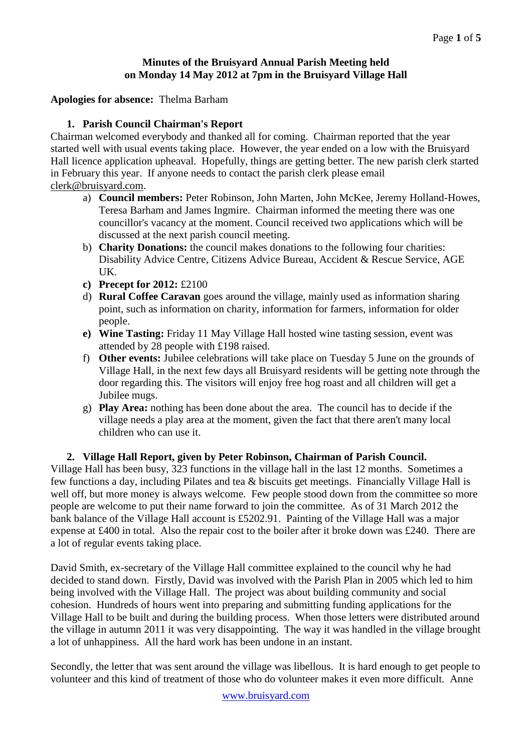## **Minutes of the Bruisyard Annual Parish Meeting held on Monday 14 May 2012 at 7pm in the Bruisyard Village Hall**

#### **Apologies for absence:** Thelma Barham

#### **1. Parish Council Chairman's Report**

Chairman welcomed everybody and thanked all for coming. Chairman reported that the year started well with usual events taking place. However, the year ended on a low with the Bruisyard Hall licence application upheaval. Hopefully, things are getting better. The new parish clerk started in February this year. If anyone needs to contact the parish clerk please email [clerk@bruisyard.com.](mailto:clerk@bruisyard.com)

- a) **Council members:** Peter Robinson, John Marten, John McKee, Jeremy Holland-Howes, Teresa Barham and James Ingmire. Chairman informed the meeting there was one councillor's vacancy at the moment. Council received two applications which will be discussed at the next parish council meeting.
- b) **Charity Donations:** the council makes donations to the following four charities: Disability Advice Centre, Citizens Advice Bureau, Accident & Rescue Service, AGE UK.
- **c) Precept for 2012:** £2100
- d) **Rural Coffee Caravan** goes around the village, mainly used as information sharing point, such as information on charity, information for farmers, information for older people.
- **e) Wine Tasting:** Friday 11 May Village Hall hosted wine tasting session, event was attended by 28 people with £198 raised.
- f) **Other events:** Jubilee celebrations will take place on Tuesday 5 June on the grounds of Village Hall, in the next few days all Bruisyard residents will be getting note through the door regarding this. The visitors will enjoy free hog roast and all children will get a Jubilee mugs.
- g) **Play Area:** nothing has been done about the area. The council has to decide if the village needs a play area at the moment, given the fact that there aren't many local children who can use it.

#### **2. Village Hall Report, given by Peter Robinson, Chairman of Parish Council.** Village Hall has been busy, 323 functions in the village hall in the last 12 months. Sometimes a few functions a day, including Pilates and tea & biscuits get meetings. Financially Village Hall is well off, but more money is always welcome. Few people stood down from the committee so more people are welcome to put their name forward to join the committee. As of 31 March 2012 the

bank balance of the Village Hall account is £5202.91. Painting of the Village Hall was a major expense at £400 in total. Also the repair cost to the boiler after it broke down was £240. There are a lot of regular events taking place.

David Smith, ex-secretary of the Village Hall committee explained to the council why he had decided to stand down. Firstly, David was involved with the Parish Plan in 2005 which led to him being involved with the Village Hall. The project was about building community and social cohesion. Hundreds of hours went into preparing and submitting funding applications for the Village Hall to be built and during the building process. When those letters were distributed around the village in autumn 2011 it was very disappointing. The way it was handled in the village brought a lot of unhappiness. All the hard work has been undone in an instant.

Secondly, the letter that was sent around the village was libellous. It is hard enough to get people to volunteer and this kind of treatment of those who do volunteer makes it even more difficult. Anne

www.bruisyard.com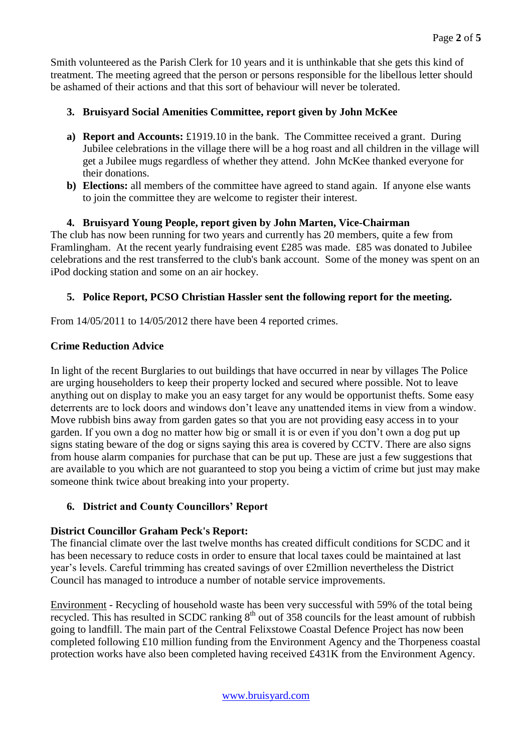Smith volunteered as the Parish Clerk for 10 years and it is unthinkable that she gets this kind of treatment. The meeting agreed that the person or persons responsible for the libellous letter should be ashamed of their actions and that this sort of behaviour will never be tolerated.

# **3. Bruisyard Social Amenities Committee, report given by John McKee**

- **a) Report and Accounts:** £1919.10 in the bank. The Committee received a grant. During Jubilee celebrations in the village there will be a hog roast and all children in the village will get a Jubilee mugs regardless of whether they attend. John McKee thanked everyone for their donations.
- **b**) **Elections:** all members of the committee have agreed to stand again. If anyone else wants to join the committee they are welcome to register their interest.

# **4. Bruisyard Young People, report given by John Marten, Vice-Chairman**

The club has now been running for two years and currently has 20 members, quite a few from Framlingham. At the recent yearly fundraising event £285 was made. £85 was donated to Jubilee celebrations and the rest transferred to the club's bank account. Some of the money was spent on an iPod docking station and some on an air hockey.

# **5. Police Report, PCSO Christian Hassler sent the following report for the meeting.**

From  $14/05/2011$  to  $14/05/2012$  there have been 4 reported crimes.

# **Crime Reduction Advice**

In light of the recent Burglaries to out buildings that have occurred in near by villages The Police are urging householders to keep their property locked and secured where possible. Not to leave anything out on display to make you an easy target for any would be opportunist thefts. Some easy deterrents are to lock doors and windows don't leave any unattended items in view from a window. Move rubbish bins away from garden gates so that you are not providing easy access in to your garden. If you own a dog no matter how big or small it is or even if you don't own a dog put up signs stating beware of the dog or signs saying this area is covered by CCTV. There are also signs from house alarm companies for purchase that can be put up. These are just a few suggestions that are available to you which are not guaranteed to stop you being a victim of crime but just may make someone think twice about breaking into your property.

# **6. District and County Councillors' Report**

# **District Councillor Graham Peck's Report:**

The financial climate over the last twelve months has created difficult conditions for SCDC and it has been necessary to reduce costs in order to ensure that local taxes could be maintained at last year's levels. Careful trimming has created savings of over £2million nevertheless the District Council has managed to introduce a number of notable service improvements.

Environment - Recycling of household waste has been very successful with 59% of the total being recycled. This has resulted in SCDC ranking  $8<sup>th</sup>$  out of 358 councils for the least amount of rubbish going to landfill. The main part of the Central Felixstowe Coastal Defence Project has now been completed following £10 million funding from the Environment Agency and the Thorpeness coastal protection works have also been completed having received £431K from the Environment Agency.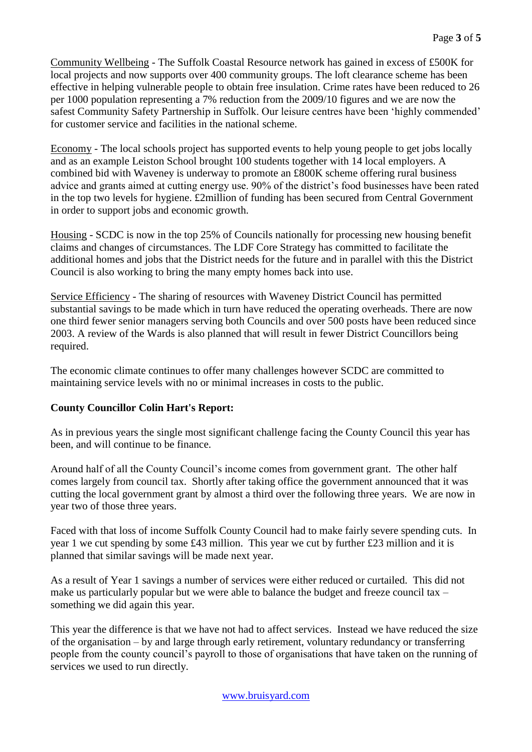Community Wellbeing - The Suffolk Coastal Resource network has gained in excess of £500K for local projects and now supports over 400 community groups. The loft clearance scheme has been effective in helping vulnerable people to obtain free insulation. Crime rates have been reduced to 26 per 1000 population representing a 7% reduction from the 2009/10 figures and we are now the safest Community Safety Partnership in Suffolk. Our leisure centres have been 'highly commended' for customer service and facilities in the national scheme.

Economy - The local schools project has supported events to help young people to get jobs locally and as an example Leiston School brought 100 students together with 14 local employers. A combined bid with Waveney is underway to promote an £800K scheme offering rural business advice and grants aimed at cutting energy use. 90% of the district's food businesses have been rated in the top two levels for hygiene. £2million of funding has been secured from Central Government in order to support jobs and economic growth.

Housing - SCDC is now in the top 25% of Councils nationally for processing new housing benefit claims and changes of circumstances. The LDF Core Strategy has committed to facilitate the additional homes and jobs that the District needs for the future and in parallel with this the District Council is also working to bring the many empty homes back into use.

Service Efficiency - The sharing of resources with Waveney District Council has permitted substantial savings to be made which in turn have reduced the operating overheads. There are now one third fewer senior managers serving both Councils and over 500 posts have been reduced since 2003. A review of the Wards is also planned that will result in fewer District Councillors being required.

The economic climate continues to offer many challenges however SCDC are committed to maintaining service levels with no or minimal increases in costs to the public.

### **County Councillor Colin Hart's Report:**

As in previous years the single most significant challenge facing the County Council this year has been, and will continue to be finance.

Around half of all the County Council's income comes from government grant. The other half comes largely from council tax. Shortly after taking office the government announced that it was cutting the local government grant by almost a third over the following three years. We are now in year two of those three years.

Faced with that loss of income Suffolk County Council had to make fairly severe spending cuts. In year 1 we cut spending by some £43 million. This year we cut by further £23 million and it is planned that similar savings will be made next year.

As a result of Year 1 savings a number of services were either reduced or curtailed. This did not make us particularly popular but we were able to balance the budget and freeze council tax – something we did again this year.

This year the difference is that we have not had to affect services. Instead we have reduced the size of the organisation – by and large through early retirement, voluntary redundancy or transferring people from the county council's payroll to those of organisations that have taken on the running of services we used to run directly.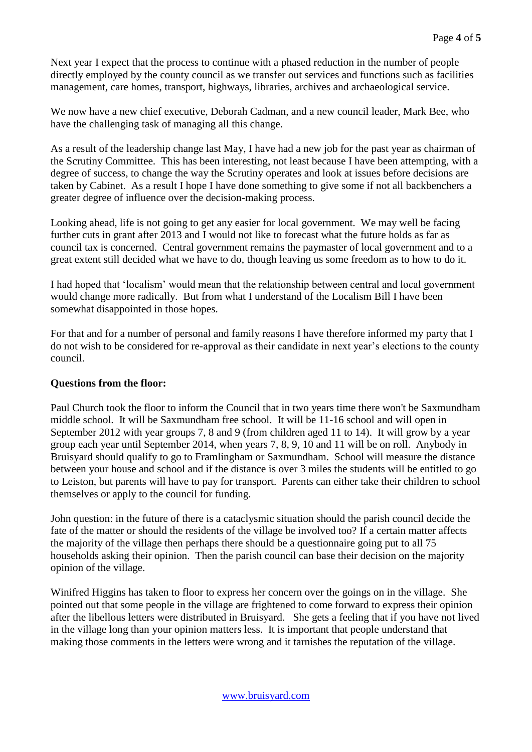Next year I expect that the process to continue with a phased reduction in the number of people directly employed by the county council as we transfer out services and functions such as facilities management, care homes, transport, highways, libraries, archives and archaeological service.

We now have a new chief executive, Deborah Cadman, and a new council leader, Mark Bee, who have the challenging task of managing all this change.

As a result of the leadership change last May, I have had a new job for the past year as chairman of the Scrutiny Committee. This has been interesting, not least because I have been attempting, with a degree of success, to change the way the Scrutiny operates and look at issues before decisions are taken by Cabinet. As a result I hope I have done something to give some if not all backbenchers a greater degree of influence over the decision-making process.

Looking ahead, life is not going to get any easier for local government. We may well be facing further cuts in grant after 2013 and I would not like to forecast what the future holds as far as council tax is concerned. Central government remains the paymaster of local government and to a great extent still decided what we have to do, though leaving us some freedom as to how to do it.

I had hoped that 'localism' would mean that the relationship between central and local government would change more radically. But from what I understand of the Localism Bill I have been somewhat disappointed in those hopes.

For that and for a number of personal and family reasons I have therefore informed my party that I do not wish to be considered for re-approval as their candidate in next year's elections to the county council.

### **Questions from the floor:**

Paul Church took the floor to inform the Council that in two years time there won't be Saxmundham middle school. It will be Saxmundham free school. It will be 11-16 school and will open in September 2012 with year groups 7, 8 and 9 (from children aged 11 to 14). It will grow by a year group each year until September 2014, when years 7, 8, 9, 10 and 11 will be on roll. Anybody in Bruisyard should qualify to go to Framlingham or Saxmundham. School will measure the distance between your house and school and if the distance is over 3 miles the students will be entitled to go to Leiston, but parents will have to pay for transport. Parents can either take their children to school themselves or apply to the council for funding.

John question: in the future of there is a cataclysmic situation should the parish council decide the fate of the matter or should the residents of the village be involved too? If a certain matter affects the majority of the village then perhaps there should be a questionnaire going put to all 75 households asking their opinion. Then the parish council can base their decision on the majority opinion of the village.

Winifred Higgins has taken to floor to express her concern over the goings on in the village. She pointed out that some people in the village are frightened to come forward to express their opinion after the libellous letters were distributed in Bruisyard. She gets a feeling that if you have not lived in the village long than your opinion matters less. It is important that people understand that making those comments in the letters were wrong and it tarnishes the reputation of the village.